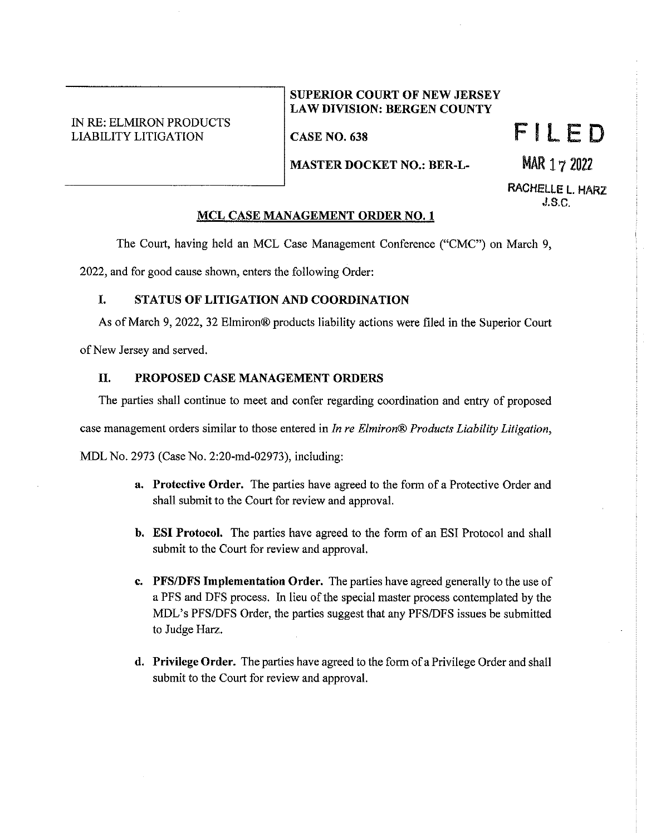## IN RE: ELMIRON PRODUCTS LIABILITY LITIGATION

### **SUPERIOR COURT OF NEW JERSEY LAW DIVISION: BERGEN COUNTY**

**CASE NO. 638** 

FILED

MAR 17 2022

**MASTER DOCKET NO.: BER-L-**

RACHELLE **L.** HARZ J.S.C.

### **MCL CASE MANAGEMENT ORDER NO. 1**

The Court, having held an MCL Case Management Conference ("CMC") on March 9,

2022, and for good cause shown, enters the following Order:

# I. **STATUS OF LITIGATION AND COORDINATION**

As of March 9, 2022, 32 Elmiron® products liability actions were filed in the Superior Court

of New Jersey and served.

## II. **PROPOSED CASE MANAGEMENT ORDERS**

The parties shall continue to meet and confer regarding coordination and entry of proposed

case management orders similar to those entered in *In re Elmiron® Products Liability Litigation,* 

MDL No. 2973 (Case No. 2:20-md-02973), including:

- **a. Protective Order.** The parties have agreed to the form of a Protective Order and shall submit to the Court for review and approval.
- **b. ESI Protocol.** The parties have agreed to the form of an ESI Protocol and shall submit to the Court for review and approval.
- **c. PFS/DFS Implementation Order.** The parties have agreed generally to the use of a PFS and DFS process. In lieu of the special master process contemplated by the MDL's PFS/DFS Order, the parties suggest that any PFS/DFS issues be submitted to Judge Harz.
- **d. Privilege Order.** The parties have agreed to the form of a Privilege Order and shall submit to the Court for review and approval.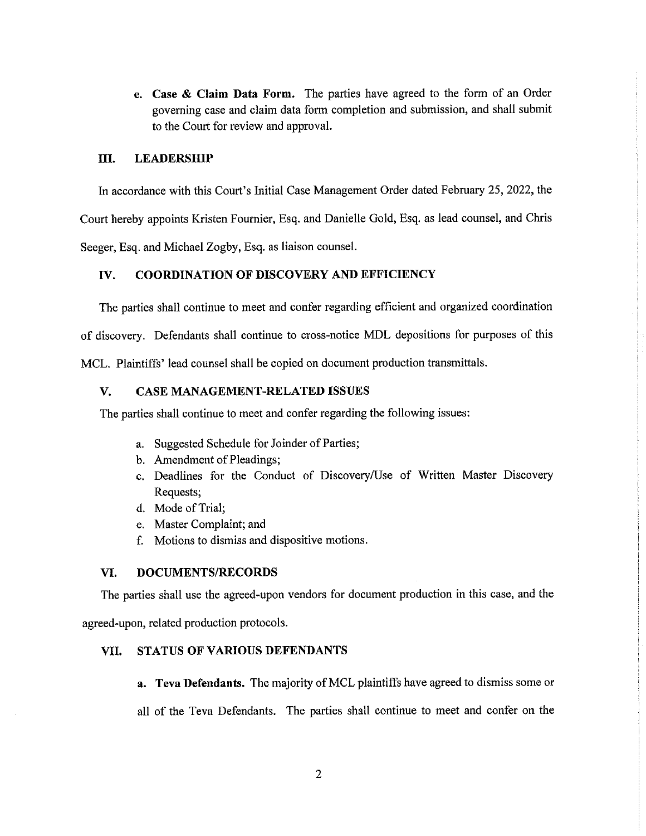**e. Case & Claim Data Form.** The parties have agreed to the form of an Order governing case and claim data form completion and submission, and shall submit to the Court for review and approval.

### **III.** LEADERSHIP

In accordance with this Court's Initial Case Management Order dated February 25, 2022, the

Court hereby appoints Kristen Fournier, Esq. and Danielle Gold, Esq. as lead counsel, and Chris

Seeger, Esq. and Michael Zogby, Esq. as liaison counsel.

#### **IV. COORDINATION OF DISCOVERY AND EFFICIENCY**

The parties shall continue to meet and confer regarding efficient and organized coordination

of discovery. Defendants shall continue to cross-notice MDL depositions for purposes of this

MCL. Plaintiffs' lead counsel shall be copied on document production transmittals.

### **V. CASE MANAGEMENT-RELATED ISSUES**

The parties shall continue to meet and confer regarding the following issues:

- a. Suggested Schedule for Joinder of Parties;
- b. Amendment of Pleadings;
- c. Deadlines for the Conduct of Discovery/Use of Written Master Discovery Requests;
- d. Mode of Trial;
- e. Master Complaint; and
- f. Motions to dismiss and dispositive motions.

#### **VI. DOCUMENTS/RECORDS**

The parties shall use the agreed-upon vendors for document production in this case, and the

agreed-upon, related production protocols.

### **VII. STATUS OF VARIOUS DEFENDANTS**

**a.** Teva Defendants. The majority of MCL plaintiffs have agreed to dismiss some or

all of the Teva Defendants. The parties shall continue to meet and confer on the